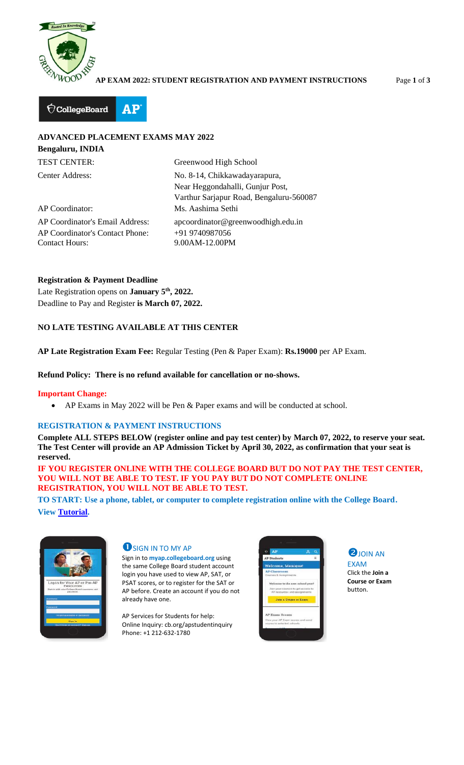

**AP EXAM 2022: STUDENT REGISTRATION AND PAYMENT INSTRUCTIONS** Page **1** of **3**



# **ADVANCED PLACEMENT EXAMS MAY 2022**

| <b>Bengaluru, INDIA</b>                                                                     |                                                                                                              |
|---------------------------------------------------------------------------------------------|--------------------------------------------------------------------------------------------------------------|
| <b>TEST CENTER:</b>                                                                         | Greenwood High School                                                                                        |
| Center Address:                                                                             | No. 8-14, Chikkawadayarapura,<br>Near Heggondahalli, Gunjur Post,<br>Varthur Sarjapur Road, Bengaluru-560087 |
| AP Coordinator:                                                                             | Ms. Aashima Sethi                                                                                            |
| AP Coordinator's Email Address:<br>AP Coordinator's Contact Phone:<br><b>Contact Hours:</b> | apcoordinator@greenwoodhigh.edu.in<br>+91 9740987056<br>9.00AM-12.00PM                                       |

**Registration & Payment Deadline** Late Registration opens on **January 5th, 2022.** Deadline to Pay and Register **is March 07, 2022.**

## **NO LATE TESTING AVAILABLE AT THIS CENTER**

**AP Late Registration Exam Fee:** Regular Testing (Pen & Paper Exam): **Rs.19000** per AP Exam.

#### **Refund Policy: There is no refund available for cancellation or no-shows.**

### **Important Change:**

• AP Exams in May 2022 will be Pen & Paper exams and will be conducted at school.

### **REGISTRATION & PAYMENT INSTRUCTIONS**

**Complete ALL STEPS BELOW (register online and pay test center) by March 07, 2022, to reserve your seat. The Test Center will provide an AP Admission Ticket by April 30, 2022, as confirmation that your seat is reserved.**

**IF YOU REGISTER ONLINE WITH THE COLLEGE BOARD BUT DO NOT PAY THE TEST CENTER, YOU WILL NOT BE ABLE TO TEST. IF YOU PAY BUT DO NOT COMPLETE ONLINE REGISTRATION, YOU WILL NOT BE ABLE TO TEST.**

**TO START: Use a phone, tablet, or computer to complete registration online with the College Board. View [Tutorial.](https://apstudents.collegeboard.org/access-your-ap-resources/join-your-class-online)**



### **U** SIGN IN TO MY AP

Sign in to **myap.collegeboard.org** using the same College Board student account login you have used to view AP, SAT, or PSAT scores, or to register for the SAT or AP before. Create an account if you do not already have one.

AP Services for Students for help: Online Inquiry: cb.org/apstudentinquiry Phone: +1 212-632-1780





Click the **Join a Course or Exam** button.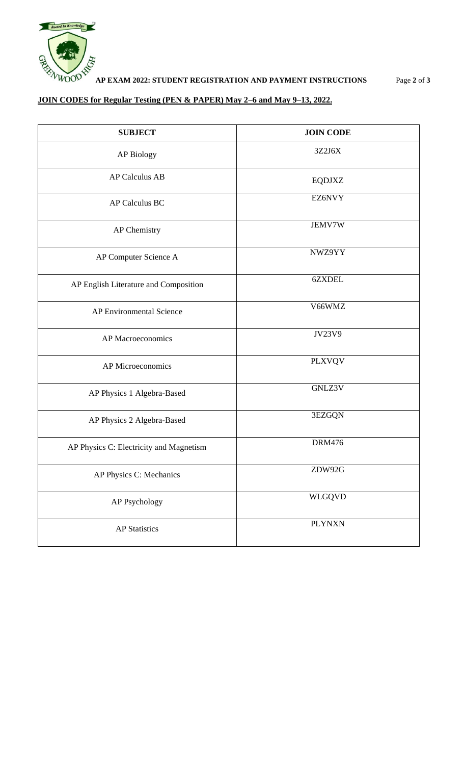

## **JOIN CODES for Regular Testing (PEN & PAPER) May 2–6 and May 9–13, 2022.**

| <b>SUBJECT</b>                          | <b>JOIN CODE</b> |
|-----------------------------------------|------------------|
| <b>AP Biology</b>                       | 3Z2J6X           |
| <b>AP Calculus AB</b>                   | <b>EQDJXZ</b>    |
| <b>AP Calculus BC</b>                   | EZ6NVY           |
| AP Chemistry                            | <b>JEMV7W</b>    |
| AP Computer Science A                   | NWZ9YY           |
| AP English Literature and Composition   | 6ZXDEL           |
| AP Environmental Science                | V66WMZ           |
| AP Macroeconomics                       | JV23V9           |
| AP Microeconomics                       | <b>PLXVQV</b>    |
| AP Physics 1 Algebra-Based              | GNLZ3V           |
| AP Physics 2 Algebra-Based              | 3EZGQN           |
| AP Physics C: Electricity and Magnetism | <b>DRM476</b>    |
| AP Physics C: Mechanics                 | ZDW92G           |
| <b>AP Psychology</b>                    | WLGQVD           |
| <b>AP Statistics</b>                    | <b>PLYNXN</b>    |